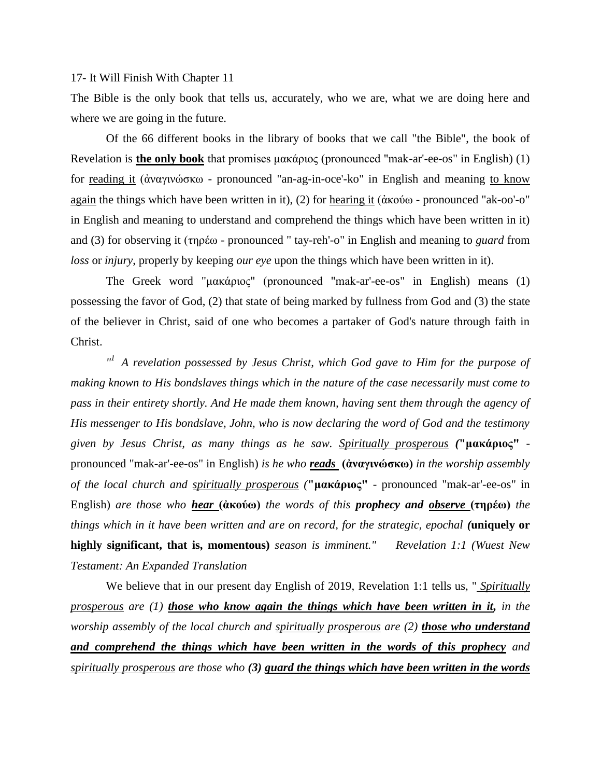## 17- It Will Finish With Chapter 11

The Bible is the only book that tells us, accurately, who we are, what we are doing here and where we are going in the future.

Of the 66 different books in the library of books that we call "the Bible", the book of Revelation is **the only book** that promises μακάριος (pronounced "mak-ar'-ee-os" in English) (1) for reading it (ἀναγινώσκω - pronounced "an-ag-in-oce'-ko" in English and meaning to know again the things which have been written in it), (2) for hearing it (ἀκούω - pronounced "ak-oo'-o" in English and meaning to understand and comprehend the things which have been written in it) and (3) for observing it (τηρέω - pronounced " tay-reh'-o" in English and meaning to *guard* from *loss* or *injury*, properly by keeping *our eye* upon the things which have been written in it).

The Greek word "μακάριος" (pronounced "mak-ar'-ee-os" in English) means (1) possessing the favor of God, (2) that state of being marked by fullness from God and (3) the state of the believer in Christ, said of one who becomes a partaker of God's nature through faith in Christ.

<sup>"</sup> A revelation possessed by Jesus Christ, which God gave to Him for the purpose of *making known to His bondslaves things which in the nature of the case necessarily must come to pass in their entirety shortly. And He made them known, having sent them through the agency of His messenger to His bondslave, John, who is now declaring the word of God and the testimony given by Jesus Christ, as many things as he saw. Spiritually prosperous (***"μακάριος"** pronounced "mak-ar'-ee-os" in English) *is he who reads* **(ἀναγινώσκω)** *in the worship assembly of the local church and spiritually prosperous (***"μακάριος"** - pronounced "mak-ar'-ee-os" in English) *are those who hear* **(ἀκούω)** *the words of this prophecy and observe* **(τηρέω)** *the things which in it have been written and are on record, for the strategic, epochal (uniquely or* **highly significant, that is, momentous)** *season is imminent." Revelation 1:1 (Wuest New Testament: An Expanded Translation*

We believe that in our present day English of 2019, Revelation 1:1 tells us, " *Spiritually prosperous are (1) those who know again the things which have been written in it, in the worship assembly of the local church and spiritually prosperous are (2) those who understand and comprehend the things which have been written in the words of this prophecy and spiritually prosperous are those who (3) guard the things which have been written in the words*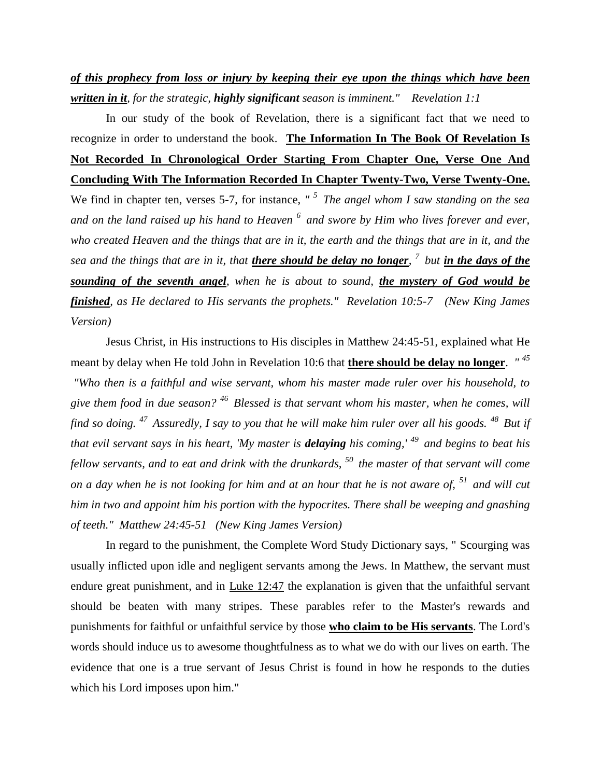## *of this prophecy from loss or injury by keeping their eye upon the things which have been written in it, for the strategic, highly significant season is imminent." Revelation 1:1*

In our study of the book of Revelation, there is a significant fact that we need to recognize in order to understand the book. **The Information In The Book Of Revelation Is Not Recorded In Chronological Order Starting From Chapter One, Verse One And Concluding With The Information Recorded In Chapter Twenty-Two, Verse Twenty-One.** We find in chapter ten, verses 5-7, for instance, "<sup>5</sup> The angel whom I saw standing on the sea *and on the land raised up his hand to Heaven <sup>6</sup>and swore by Him who lives forever and ever, who created Heaven and the things that are in it, the earth and the things that are in it, and the sea and the things that are in it, that there should be delay no longer, <sup>7</sup>but in the days of the sounding of the seventh angel, when he is about to sound, the mystery of God would be finished, as He declared to His servants the prophets." Revelation 10:5-7 (New King James Version)* 

Jesus Christ, in His instructions to His disciples in Matthew 24:45-51, explained what He meant by delay when He told John in Revelation 10:6 that **there should be delay no longer**. *" <sup>45</sup>*

*"Who then is a faithful and wise servant, whom his master made ruler over his household, to give them food in due season? <sup>46</sup>Blessed is that servant whom his master, when he comes, will find so doing. <sup>47</sup>Assuredly, I say to you that he will make him ruler over all his goods. <sup>48</sup>But if that evil servant says in his heart, 'My master is delaying his coming,' <sup>49</sup>and begins to beat his fellow servants, and to eat and drink with the drunkards, <sup>50</sup>the master of that servant will come on a day when he is not looking for him and at an hour that he is not aware of, <sup>51</sup>and will cut him in two and appoint him his portion with the hypocrites. There shall be weeping and gnashing of teeth." Matthew 24:45-51 (New King James Version)* 

In regard to the punishment, the Complete Word Study Dictionary says, " Scourging was usually inflicted upon idle and negligent servants among the Jews. In Matthew, the servant must endure great punishment, and in [Luke 12:47](http://www.crossbooks.com/verse.asp?ref=Lk+12%3A47) the explanation is given that the unfaithful servant should be beaten with many stripes. These parables refer to the Master's rewards and punishments for faithful or unfaithful service by those **who claim to be His servants**. The Lord's words should induce us to awesome thoughtfulness as to what we do with our lives on earth. The evidence that one is a true servant of Jesus Christ is found in how he responds to the duties which his Lord imposes upon him."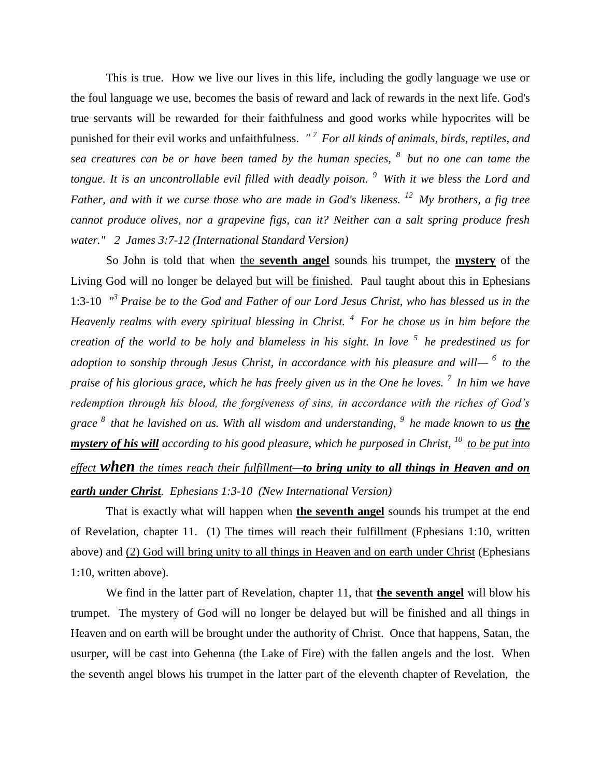This is true. How we live our lives in this life, including the godly language we use or the foul language we use, becomes the basis of reward and lack of rewards in the next life. God's true servants will be rewarded for their faithfulness and good works while hypocrites will be punished for their evil works and unfaithfulness. *" <sup>7</sup>For all kinds of animals, birds, reptiles, and sea creatures can be or have been tamed by the human species, <sup>8</sup>but no one can tame the tongue. It is an uncontrollable evil filled with deadly poison. <sup>9</sup>With it we bless the Lord and Father, and with it we curse those who are made in God's likeness. <sup>12</sup>My brothers, a fig tree cannot produce olives, nor a grapevine figs, can it? Neither can a salt spring produce fresh water." 2 James 3:7-12 (International Standard Version)*

So John is told that when the **seventh angel** sounds his trumpet, the **mystery** of the Living God will no longer be delayed but will be finished. Paul taught about this in Ephesians 1:3-10 *" 3 Praise be to the God and Father of our Lord Jesus Christ, who has blessed us in the Heavenly realms with every spiritual blessing in Christ. <sup>4</sup>For he chose us in him before the creation of the world to be holy and blameless in his sight. In love <sup>5</sup>he predestined us for adoption to sonship through Jesus Christ, in accordance with his pleasure and will— <sup>6</sup>to the praise of his glorious grace, which he has freely given us in the One he loves. <sup>7</sup>In him we have redemption through his blood, the forgiveness of sins, in accordance with the riches of God's grace <sup>8</sup>that he lavished on us. With all wisdom and understanding, <sup>9</sup>he made known to us the mystery of his will according to his good pleasure, which he purposed in Christ, <sup>10</sup>to be put into effect when the times reach their fulfillment—to bring unity to all things in Heaven and on earth under Christ. Ephesians 1:3-10 (New International Version)*

That is exactly what will happen when **the seventh angel** sounds his trumpet at the end of Revelation, chapter 11. (1) The times will reach their fulfillment (Ephesians 1:10, written above) and (2) God will bring unity to all things in Heaven and on earth under Christ (Ephesians 1:10, written above).

We find in the latter part of Revelation, chapter 11, that **the seventh angel** will blow his trumpet. The mystery of God will no longer be delayed but will be finished and all things in Heaven and on earth will be brought under the authority of Christ. Once that happens, Satan, the usurper, will be cast into Gehenna (the Lake of Fire) with the fallen angels and the lost. When the seventh angel blows his trumpet in the latter part of the eleventh chapter of Revelation, the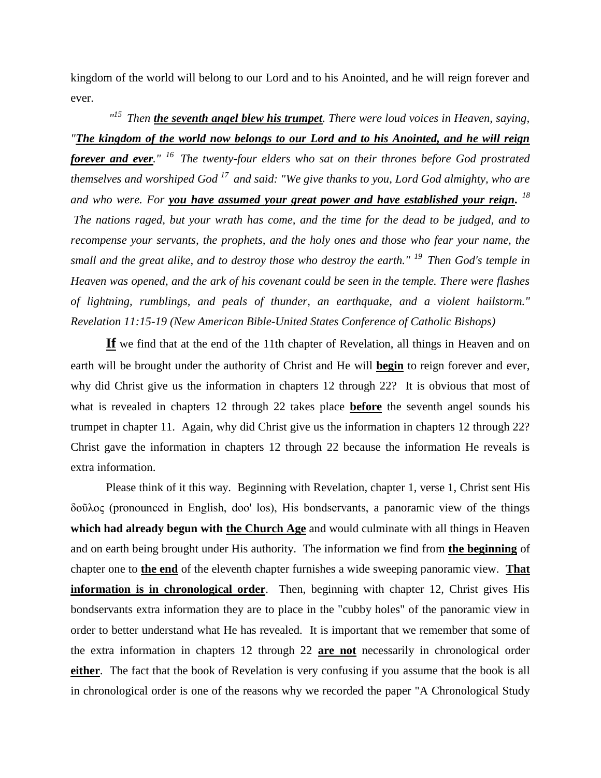kingdom of the world will belong to our Lord and to his Anointed, and he will reign forever and ever.

<sup>"15</sup> Then **the seventh angel blew his trumpet**. There were loud voices in Heaven, saying, *"The kingdom of the world now belongs to our Lord and to his Anointed, and he will reign forever and ever." <sup>16</sup>The twenty-four elders who sat on their thrones before God prostrated themselves and worshiped God <sup>17</sup>and said: "We give thanks to you, Lord God almighty, who are and who were. For you have assumed your great power and have established your reign. 18 The nations raged, but your wrath has come, and the time for the dead to be judged, and to recompense your servants, the prophets, and the holy ones and those who fear your name, the small and the great alike, and to destroy those who destroy the earth." <sup>19</sup>Then God's temple in Heaven was opened, and the ark of his covenant could be seen in the temple. There were flashes of lightning, rumblings, and peals of thunder, an earthquake, and a violent hailstorm." Revelation 11:15-19 (New American Bible-United States Conference of Catholic Bishops)* 

**If** we find that at the end of the 11th chapter of Revelation, all things in Heaven and on earth will be brought under the authority of Christ and He will **begin** to reign forever and ever, why did Christ give us the information in chapters 12 through 22? It is obvious that most of what is revealed in chapters 12 through 22 takes place **before** the seventh angel sounds his trumpet in chapter 11. Again, why did Christ give us the information in chapters 12 through 22? Christ gave the information in chapters 12 through 22 because the information He reveals is extra information.

Please think of it this way. Beginning with Revelation, chapter 1, verse 1, Christ sent His δοῦλος (pronounced in English, doo' los), His bondservants, a panoramic view of the things **which had already begun with the Church Age** and would culminate with all things in Heaven and on earth being brought under His authority. The information we find from **the beginning** of chapter one to **the end** of the eleventh chapter furnishes a wide sweeping panoramic view. **That information is in chronological order**. Then, beginning with chapter 12, Christ gives His bondservants extra information they are to place in the "cubby holes" of the panoramic view in order to better understand what He has revealed. It is important that we remember that some of the extra information in chapters 12 through 22 **are not** necessarily in chronological order **either**. The fact that the book of Revelation is very confusing if you assume that the book is all in chronological order is one of the reasons why we recorded the paper "A Chronological Study